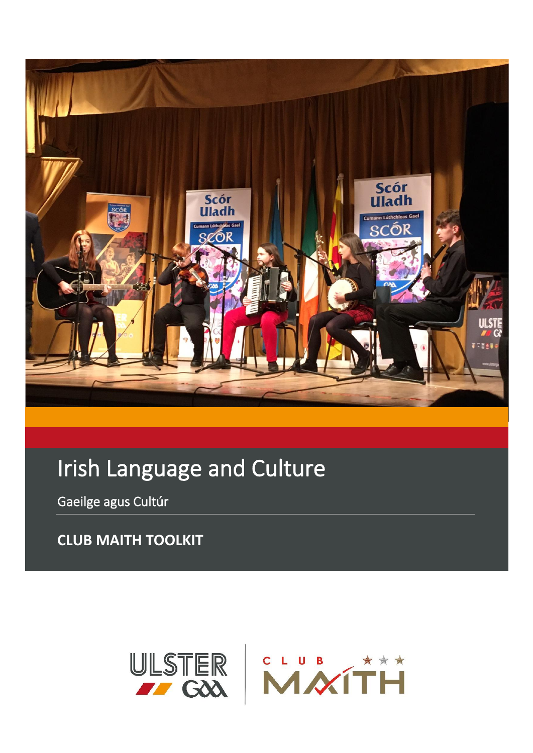

# Irish Language and Culture

Gaeilge agus Cultúr

**CLUB MAITH TOOLKIT**

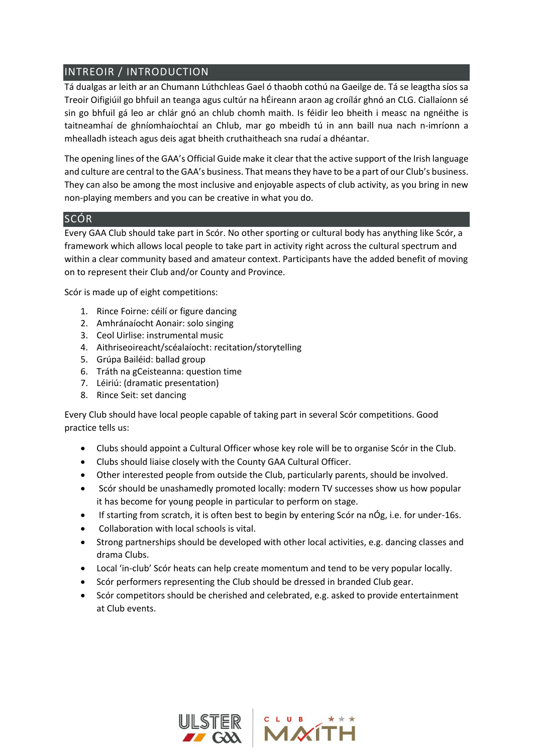# INTREOIR / INTRODUCTION

Tá dualgas ar leith ar an Chumann Lúthchleas Gael ó thaobh cothú na Gaeilge de. Tá se leagtha síos sa Treoir Oifigiúil go bhfuil an teanga agus cultúr na hÉireann araon ag croílár ghnó an CLG. Ciallaíonn sé sin go bhfuil gá leo ar chlár gnó an chlub chomh maith. Is féidir leo bheith i measc na ngnéithe is taitneamhaí de ghníomhaíochtaí an Chlub, mar go mbeidh tú in ann baill nua nach n-imríonn a mhealladh isteach agus deis agat bheith cruthaitheach sna rudaí a dhéantar.

The opening lines of the GAA's Official Guide make it clear that the active support of the Irish language and culture are central to the GAA's business. That means they have to be a part of our Club's business. They can also be among the most inclusive and enjoyable aspects of club activity, as you bring in new non-playing members and you can be creative in what you do.

#### SCÓR

Every GAA Club should take part in Scór. No other sporting or cultural body has anything like Scór, a framework which allows local people to take part in activity right across the cultural spectrum and within a clear community based and amateur context. Participants have the added benefit of moving on to represent their Club and/or County and Province.

Scór is made up of eight competitions:

- 1. Rince Foirne: céilí or figure dancing
- 2. Amhránaíocht Aonair: solo singing
- 3. Ceol Uirlise: instrumental music
- 4. Aithriseoireacht/scéalaíocht: recitation/storytelling
- 5. Grúpa Bailéid: ballad group
- 6. Tráth na gCeisteanna: question time
- 7. Léiriú: (dramatic presentation)
- 8. Rince Seit: set dancing

Every Club should have local people capable of taking part in several Scór competitions. Good practice tells us:

- Clubs should appoint a Cultural Officer whose key role will be to organise Scór in the Club.
- Clubs should liaise closely with the County GAA Cultural Officer.
- Other interested people from outside the Club, particularly parents, should be involved.
- Scór should be unashamedly promoted locally: modern TV successes show us how popular it has become for young people in particular to perform on stage.
- If starting from scratch, it is often best to begin by entering Scór na nÓg, i.e. for under-16s.
- Collaboration with local schools is vital.
- Strong partnerships should be developed with other local activities, e.g. dancing classes and drama Clubs.
- Local 'in-club' Scór heats can help create momentum and tend to be very popular locally.
- Scór performers representing the Club should be dressed in branded Club gear.
- Scór competitors should be cherished and celebrated, e.g. asked to provide entertainment at Club events.

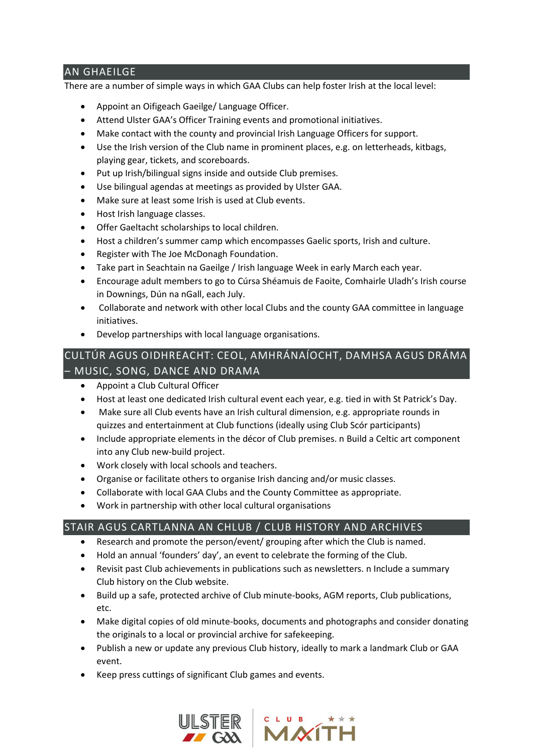# AN GHAEILGE

There are a number of simple ways in which GAA Clubs can help foster Irish at the local level:

- Appoint an Oifigeach Gaeilge/ Language Officer.
- Attend Ulster GAA's Officer Training events and promotional initiatives.
- Make contact with the county and provincial Irish Language Officers for support.
- Use the Irish version of the Club name in prominent places, e.g. on letterheads, kitbags, playing gear, tickets, and scoreboards.
- Put up Irish/bilingual signs inside and outside Club premises.
- Use bilingual agendas at meetings as provided by Ulster GAA.
- Make sure at least some Irish is used at Club events.
- Host Irish language classes.
- Offer Gaeltacht scholarships to local children.
- Host a children's summer camp which encompasses Gaelic sports, Irish and culture.
- Register with The Joe McDonagh Foundation.
- Take part in Seachtain na Gaeilge / Irish language Week in early March each year.
- Encourage adult members to go to Cúrsa Shéamuis de Faoite, Comhairle Uladh's Irish course in Downings, Dún na nGall, each July.
- Collaborate and network with other local Clubs and the county GAA committee in language initiatives.
- Develop partnerships with local language organisations.

# CULTÚR AGUS OIDHREACHT: CEOL, AMHRÁNAÍOCHT, DAMHSA AGUS DRÁMA – MUSIC, SONG, DANCE AND DRAMA

- Appoint a Club Cultural Officer
- Host at least one dedicated Irish cultural event each year, e.g. tied in with St Patrick's Day.
- Make sure all Club events have an Irish cultural dimension, e.g. appropriate rounds in quizzes and entertainment at Club functions (ideally using Club Scór participants)
- Include appropriate elements in the décor of Club premises. n Build a Celtic art component into any Club new-build project.
- Work closely with local schools and teachers.
- Organise or facilitate others to organise Irish dancing and/or music classes.
- Collaborate with local GAA Clubs and the County Committee as appropriate.
- Work in partnership with other local cultural organisations

#### STAIR AGUS CARTLANNA AN CHLUB / CLUB HISTORY AND ARCHIVES

- Research and promote the person/event/ grouping after which the Club is named.
- Hold an annual 'founders' day', an event to celebrate the forming of the Club.
- Revisit past Club achievements in publications such as newsletters. n Include a summary Club history on the Club website.
- Build up a safe, protected archive of Club minute-books, AGM reports, Club publications, etc.
- Make digital copies of old minute-books, documents and photographs and consider donating the originals to a local or provincial archive for safekeeping.
- Publish a new or update any previous Club history, ideally to mark a landmark Club or GAA event.
- Keep press cuttings of significant Club games and events.